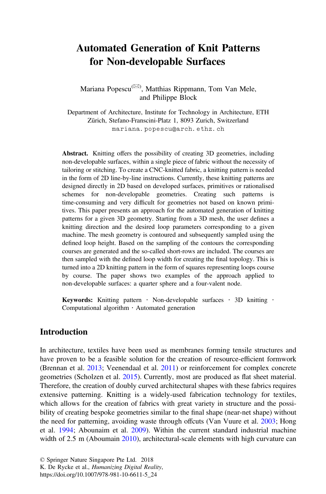# Automated Generation of Knit Patterns for Non-developable Surfaces

Mariana Popescu<sup>(⊠)</sup>, Matthias Rippmann, Tom Van Mele, and Philippe Block

Department of Architecture, Institute for Technology in Architecture, ETH Zürich, Stefano-Franscini-Platz 1, 8093 Zurich, Switzerland mariana.popescu@arch.ethz.ch

Abstract. Knitting offers the possibility of creating 3D geometries, including non-developable surfaces, within a single piece of fabric without the necessity of tailoring or stitching. To create a CNC-knitted fabric, a knitting pattern is needed in the form of 2D line-by-line instructions. Currently, these knitting patterns are designed directly in 2D based on developed surfaces, primitives or rationalised schemes for non-developable geometries. Creating such patterns is time-consuming and very difficult for geometries not based on known primitives. This paper presents an approach for the automated generation of knitting patterns for a given 3D geometry. Starting from a 3D mesh, the user defines a knitting direction and the desired loop parameters corresponding to a given machine. The mesh geometry is contoured and subsequently sampled using the defined loop height. Based on the sampling of the contours the corresponding courses are generated and the so-called short-rows are included. The courses are then sampled with the defined loop width for creating the final topology. This is turned into a 2D knitting pattern in the form of squares representing loops course by course. The paper shows two examples of the approach applied to non-developable surfaces: a quarter sphere and a four-valent node.

**Keywords:** Knitting pattern  $\cdot$  Non-developable surfaces  $\cdot$  3D knitting  $\cdot$  Computational algorithm  $\cdot$  Automated generation

### Introduction

In architecture, textiles have been used as membranes forming tensile structures and have proven to be a feasible solution for the creation of resource-efficient formwork (Brennan et al. [2013](#page-12-0); Veenendaal et al. [2011](#page-13-0)) or reinforcement for complex concrete geometries (Scholzen et al. [2015](#page-13-0)). Currently, most are produced as flat sheet material. Therefore, the creation of doubly curved architectural shapes with these fabrics requires extensive patterning. Knitting is a widely-used fabrication technology for textiles, which allows for the creation of fabrics with great variety in structure and the possibility of creating bespoke geometries similar to the final shape (near-net shape) without the need for patterning, avoiding waste through offcuts (Van Vuure et al. [2003;](#page-13-0) Hong et al. [1994;](#page-13-0) Abounaim et al. [2009](#page-12-0)). Within the current standard industrial machine width of 2.5 m (Aboumain [2010](#page-12-0)), architectural-scale elements with high curvature can

<sup>©</sup> Springer Nature Singapore Pte Ltd. 2018 K. De Rycke et al., Humanizing Digital Reality, https://doi.org/10.1007/978-981-10-6611-5\_24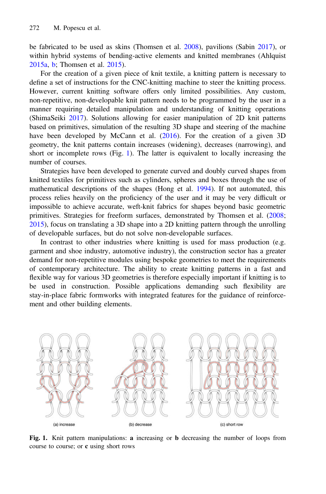be fabricated to be used as skins (Thomsen et al. [2008](#page-13-0)), pavilions (Sabin [2017\)](#page-13-0), or within hybrid systems of bending-active elements and knitted membranes (Ahlquist [2015a](#page-12-0), [b;](#page-12-0) Thomsen et al. [2015](#page-13-0)).

For the creation of a given piece of knit textile, a knitting pattern is necessary to define a set of instructions for the CNC-knitting machine to steer the knitting process. However, current knitting software offers only limited possibilities. Any custom, non-repetitive, non-developable knit pattern needs to be programmed by the user in a manner requiring detailed manipulation and understanding of knitting operations (ShimaSeiki [2017\)](#page-13-0). Solutions allowing for easier manipulation of 2D knit patterns based on primitives, simulation of the resulting 3D shape and steering of the machine have been developed by McCann et al. ([2016\)](#page-13-0). For the creation of a given 3D geometry, the knit patterns contain increases (widening), decreases (narrowing), and short or incomplete rows (Fig. 1). The latter is equivalent to locally increasing the number of courses.

Strategies have been developed to generate curved and doubly curved shapes from knitted textiles for primitives such as cylinders, spheres and boxes through the use of mathematical descriptions of the shapes (Hong et al. [1994\)](#page-13-0). If not automated, this process relies heavily on the proficiency of the user and it may be very difficult or impossible to achieve accurate, weft-knit fabrics for shapes beyond basic geometric primitives. Strategies for freeform surfaces, demonstrated by Thomsen et al. ([2008;](#page-13-0) [2015\)](#page-13-0), focus on translating a 3D shape into a 2D knitting pattern through the unrolling of developable surfaces, but do not solve non-developable surfaces.

In contrast to other industries where knitting is used for mass production (e.g. garment and shoe industry, automotive industry), the construction sector has a greater demand for non-repetitive modules using bespoke geometries to meet the requirements of contemporary architecture. The ability to create knitting patterns in a fast and flexible way for various 3D geometries is therefore especially important if knitting is to be used in construction. Possible applications demanding such flexibility are stay-in-place fabric formworks with integrated features for the guidance of reinforcement and other building elements.



Fig. 1. Knit pattern manipulations: a increasing or b decreasing the number of loops from course to course; or c using short rows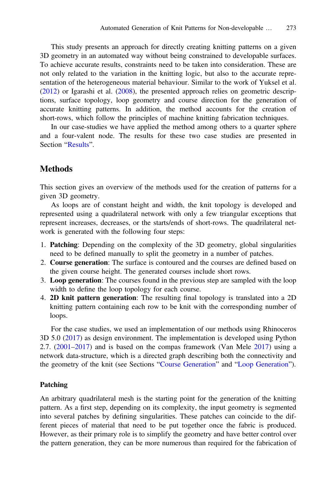<span id="page-2-0"></span>This study presents an approach for directly creating knitting patterns on a given 3D geometry in an automated way without being constrained to developable surfaces. To achieve accurate results, constraints need to be taken into consideration. These are not only related to the variation in the knitting logic, but also to the accurate representation of the heterogeneous material behaviour. Similar to the work of Yuksel et al. [\(2012](#page-13-0)) or Igarashi et al. [\(2008\)](#page-13-0), the presented approach relies on geometric descriptions, surface topology, loop geometry and course direction for the generation of accurate knitting patterns. In addition, the method accounts for the creation of short-rows, which follow the principles of machine knitting fabrication techniques.

In our case-studies we have applied the method among others to a quarter sphere and a four-valent node. The results for these two case studies are presented in Section "[Results](#page-8-0)".

# **Methods**

This section gives an overview of the methods used for the creation of patterns for a given 3D geometry.

As loops are of constant height and width, the knit topology is developed and represented using a quadrilateral network with only a few triangular exceptions that represent increases, decreases, or the starts/ends of short-rows. The quadrilateral network is generated with the following four steps:

- 1. Patching: Depending on the complexity of the 3D geometry, global singularities need to be defined manually to split the geometry in a number of patches.
- 2. Course generation: The surface is contoured and the courses are defined based on the given course height. The generated courses include short rows.
- 3. Loop generation: The courses found in the previous step are sampled with the loop width to define the loop topology for each course.
- 4. 2D knit pattern generation: The resulting final topology is translated into a 2D knitting pattern containing each row to be knit with the corresponding number of loops.

For the case studies, we used an implementation of our methods using Rhinoceros 3D 5.0 ([2017\)](#page-13-0) as design environment. The implementation is developed using Python 2.7. [\(2001](#page-13-0)–[2017\)](#page-13-0) and is based on the compas framework (Van Mele [2017\)](#page-13-0) using a network data-structure, which is a directed graph describing both the connectivity and the geometry of the knit (see Sections "[Course Generation](#page-3-0)" and "[Loop Generation](#page-6-0)").

#### Patching

An arbitrary quadrilateral mesh is the starting point for the generation of the knitting pattern. As a first step, depending on its complexity, the input geometry is segmented into several patches by defining singularities. These patches can coincide to the different pieces of material that need to be put together once the fabric is produced. However, as their primary role is to simplify the geometry and have better control over the pattern generation, they can be more numerous than required for the fabrication of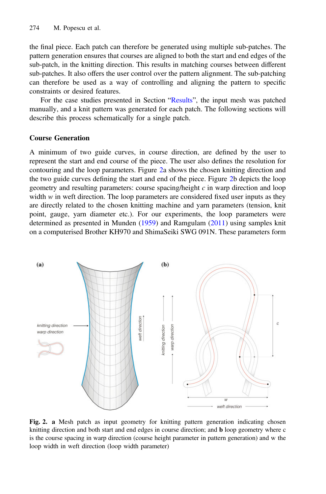<span id="page-3-0"></span>the final piece. Each patch can therefore be generated using multiple sub-patches. The pattern generation ensures that courses are aligned to both the start and end edges of the sub-patch, in the knitting direction. This results in matching courses between different sub-patches. It also offers the user control over the pattern alignment. The sub-patching can therefore be used as a way of controlling and aligning the pattern to specific constraints or desired features.

For the case studies presented in Section "[Results](#page-8-0)", the input mesh was patched manually, and a knit pattern was generated for each patch. The following sections will describe this process schematically for a single patch.

#### Course Generation

A minimum of two guide curves, in course direction, are defined by the user to represent the start and end course of the piece. The user also defines the resolution for contouring and the loop parameters. Figure 2a shows the chosen knitting direction and the two guide curves defining the start and end of the piece. Figure 2b depicts the loop geometry and resulting parameters: course spacing/height  $c$  in warp direction and loop width  $w$  in weft direction. The loop parameters are considered fixed user inputs as they are directly related to the chosen knitting machine and yarn parameters (tension, knit point, gauge, yarn diameter etc.). For our experiments, the loop parameters were determined as presented in Munden [\(1959](#page-13-0)) and Ramgulam [\(2011\)](#page-13-0) using samples knit on a computerised Brother KH970 and ShimaSeiki SWG 091N. These parameters form



Fig. 2. a Mesh patch as input geometry for knitting pattern generation indicating chosen knitting direction and both start and end edges in course direction; and b loop geometry where c is the course spacing in warp direction (course height parameter in pattern generation) and w the loop width in weft direction (loop width parameter)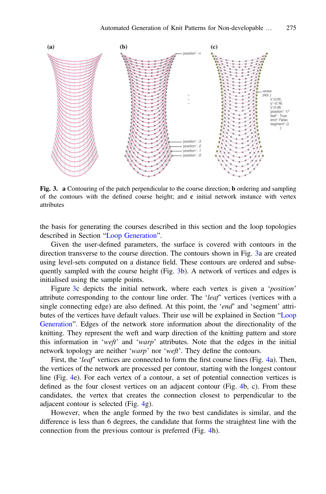

Fig. 3. a Contouring of the patch perpendicular to the course direction; b ordering and sampling of the contours with the defined course height; and c initial network instance with vertex attributes

the basis for generating the courses described in this section and the loop topologies described in Section "[Loop Generation](#page-6-0)".

Given the user-defined parameters, the surface is covered with contours in the direction transverse to the course direction. The contours shown in Fig. 3a are created using level-sets computed on a distance field. These contours are ordered and subsequently sampled with the course height (Fig. 3b). A network of vertices and edges is initialised using the sample points.

Figure 3c depicts the initial network, where each vertex is given a 'position' attribute corresponding to the contour line order. The 'leaf' vertices (vertices with a single connecting edge) are also defined. At this point, the 'end' and 'segment' attributes of the vertices have default values. Their use will be explained in Section "[Loop](#page-6-0) [Generation](#page-6-0)". Edges of the network store information about the directionality of the knitting. They represent the weft and warp direction of the knitting pattern and store this information in 'weft' and 'warp' attributes. Note that the edges in the initial network topology are neither 'warp' nor 'weft'. They define the contours.

First, the 'leaf' vertices are connected to form the first course lines (Fig. [4](#page-5-0)a). Then, the vertices of the network are processed per contour, starting with the longest contour line (Fig. [4e](#page-5-0)). For each vertex of a contour, a set of potential connection vertices is defined as the four closest vertices on an adjacent contour (Fig. [4](#page-5-0)b, c). From these candidates, the vertex that creates the connection closest to perpendicular to the adjacent contour is selected (Fig. [4g](#page-5-0)).

However, when the angle formed by the two best candidates is similar, and the difference is less than 6 degrees, the candidate that forms the straightest line with the connection from the previous contour is preferred (Fig. [4h](#page-5-0)).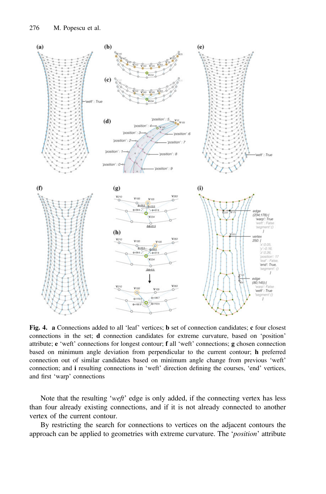<span id="page-5-0"></span>

Fig. 4. a Connections added to all 'leaf' vertices; **b** set of connection candidates; c four closest connections in the set; d connection candidates for extreme curvature, based on 'position' attribute; e 'weft' connections for longest contour; f all 'weft' connections; g chosen connection based on minimum angle deviation from perpendicular to the current contour; h preferred connection out of similar candidates based on minimum angle change from previous 'weft' connection; and i resulting connections in 'weft' direction defining the courses, 'end' vertices, and first 'warp' connections

Note that the resulting 'weft' edge is only added, if the connecting vertex has less than four already existing connections, and if it is not already connected to another vertex of the current contour.

By restricting the search for connections to vertices on the adjacent contours the approach can be applied to geometries with extreme curvature. The 'position' attribute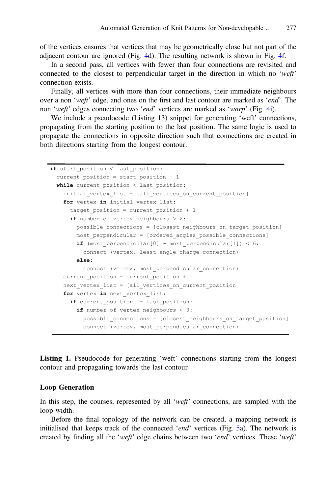<span id="page-6-0"></span>of the vertices ensures that vertices that may be geometrically close but not part of the adjacent contour are ignored (Fig. [4d](#page-5-0)). The resulting network is shown in Fig. [4](#page-5-0)f.

In a second pass, all vertices with fewer than four connections are revisited and connected to the closest to perpendicular target in the direction in which no 'weft' connection exists.

Finally, all vertices with more than four connections, their immediate neighbours over a non 'weft' edge, and ones on the first and last contour are marked as 'end'. The non 'weft' edges connecting two 'end' vertices are marked as 'warp' (Fig. [4](#page-5-0)i).

We include a pseudocode (Listing 13) snippet for generating 'weft' connections, propagating from the starting position to the last position. The same logic is used to propagate the connections in opposite direction such that connections are created in both directions starting from the longest contour.

```
if start position < last position:
current position = start position + 1
while current position < last position:
  initial vertex list = [all vertices on current position]
  for vertex in initial vertex list:
    target position = current position + 1
    if number of vertex neighbours > 2:
      possible connections = [closest neighbours on target position]
      most perpendicular = [ordered angles possible connections]
      if (most perpendicular[0] - most perpendicular[1]) < 6:
        connect (vertex, least_angle_change_connection)
      else:
        connect (vertex, most perpendicular connection)
  current position = current position + 1
  next vertex list = [all vertices on current position
  for vertex in next_vertex_list:
    if current position != last position:
      if number of vertex neighbours < 3:
        possible connections = [closest neighbours on target position]
        connect (vertex, most perpendicular connection)
```
Listing 1. Pseudocode for generating 'weft' connections starting from the longest contour and propagating towards the last contour

#### Loop Generation

In this step, the courses, represented by all 'weft' connections, are sampled with the loop width.

Before the final topology of the network can be created, a mapping network is initialised that keeps track of the connected '*end*' vertices (Fig. [5a](#page-7-0)). The network is created by finding all the 'weft' edge chains between two 'end' vertices. These 'weft'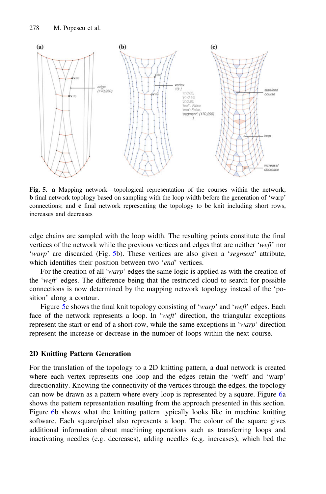<span id="page-7-0"></span>

Fig. 5. a Mapping network—topological representation of the courses within the network; b final network topology based on sampling with the loop width before the generation of 'warp' connections; and c final network representing the topology to be knit including short rows, increases and decreases

edge chains are sampled with the loop width. The resulting points constitute the final vertices of the network while the previous vertices and edges that are neither 'weft' nor 'warp' are discarded (Fig. 5b). These vertices are also given a 'segment' attribute, which identifies their position between two 'end' vertices.

For the creation of all 'warp' edges the same logic is applied as with the creation of the 'weft' edges. The difference being that the restricted cloud to search for possible connections is now determined by the mapping network topology instead of the 'position' along a contour.

Figure 5c shows the final knit topology consisting of 'warp' and 'weft' edges. Each face of the network represents a loop. In 'weft' direction, the triangular exceptions represent the start or end of a short-row, while the same exceptions in 'warp' direction represent the increase or decrease in the number of loops within the next course.

#### 2D Knitting Pattern Generation

For the translation of the topology to a 2D knitting pattern, a dual network is created where each vertex represents one loop and the edges retain the 'weft' and 'warp' directionality. Knowing the connectivity of the vertices through the edges, the topology can now be drawn as a pattern where every loop is represented by a square. Figure [6](#page-8-0)a shows the pattern representation resulting from the approach presented in this section. Figure [6b](#page-8-0) shows what the knitting pattern typically looks like in machine knitting software. Each square/pixel also represents a loop. The colour of the square gives additional information about machining operations such as transferring loops and inactivating needles (e.g. decreases), adding needles (e.g. increases), which bed the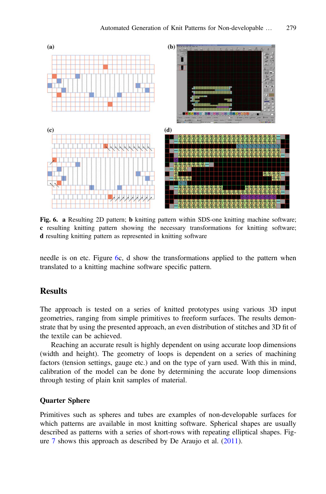<span id="page-8-0"></span>

Fig. 6. a Resulting 2D pattern; b knitting pattern within SDS-one knitting machine software; c resulting knitting pattern showing the necessary transformations for knitting software; d resulting knitting pattern as represented in knitting software

needle is on etc. Figure 6c, d show the transformations applied to the pattern when translated to a knitting machine software specific pattern.

## **Results**

The approach is tested on a series of knitted prototypes using various 3D input geometries, ranging from simple primitives to freeform surfaces. The results demonstrate that by using the presented approach, an even distribution of stitches and 3D fit of the textile can be achieved.

Reaching an accurate result is highly dependent on using accurate loop dimensions (width and height). The geometry of loops is dependent on a series of machining factors (tension settings, gauge etc.) and on the type of yarn used. With this in mind, calibration of the model can be done by determining the accurate loop dimensions through testing of plain knit samples of material.

### Quarter Sphere

Primitives such as spheres and tubes are examples of non-developable surfaces for which patterns are available in most knitting software. Spherical shapes are usually described as patterns with a series of short-rows with repeating elliptical shapes. Figure [7](#page-9-0) shows this approach as described by De Araujo et al. ([2011\)](#page-13-0).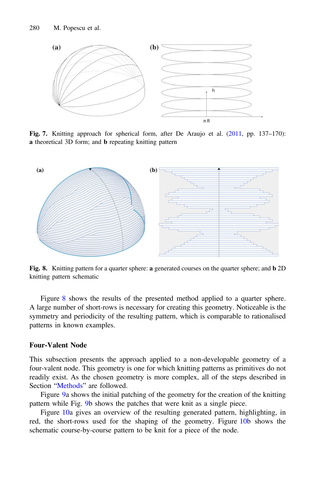<span id="page-9-0"></span>

Fig. 7. Knitting approach for spherical form, after De Araujo et al. [\(2011](#page-13-0), pp. 137–170): a theoretical 3D form; and b repeating knitting pattern



Fig. 8. Knitting pattern for a quarter sphere: a generated courses on the quarter sphere; and **b** 2D knitting pattern schematic

Figure 8 shows the results of the presented method applied to a quarter sphere. A large number of short-rows is necessary for creating this geometry. Noticeable is the symmetry and periodicity of the resulting pattern, which is comparable to rationalised patterns in known examples.

#### Four-Valent Node

This subsection presents the approach applied to a non-developable geometry of a four-valent node. This geometry is one for which knitting patterns as primitives do not readily exist. As the chosen geometry is more complex, all of the steps described in Section "[Methods](#page-2-0)" are followed.

Figure [9a](#page-10-0) shows the initial patching of the geometry for the creation of the knitting pattern while Fig. [9b](#page-10-0) shows the patches that were knit as a single piece.

Figure [10a](#page-10-0) gives an overview of the resulting generated pattern, highlighting, in red, the short-rows used for the shaping of the geometry. Figure [10](#page-10-0)b shows the schematic course-by-course pattern to be knit for a piece of the node.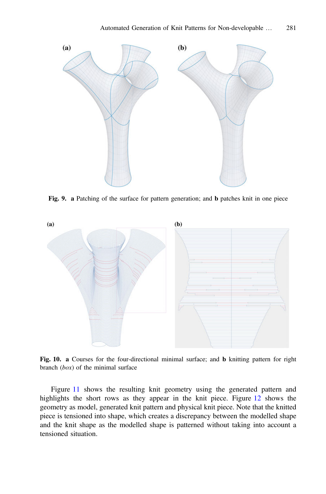<span id="page-10-0"></span>

Fig. 9. a Patching of the surface for pattern generation; and **b** patches knit in one piece



Fig. 10. a Courses for the four-directional minimal surface; and **b** knitting pattern for right branch  $(box)$  of the minimal surface

Figure [11](#page-11-0) shows the resulting knit geometry using the generated pattern and highlights the short rows as they appear in the knit piece. Figure [12](#page-11-0) shows the geometry as model, generated knit pattern and physical knit piece. Note that the knitted piece is tensioned into shape, which creates a discrepancy between the modelled shape and the knit shape as the modelled shape is patterned without taking into account a tensioned situation.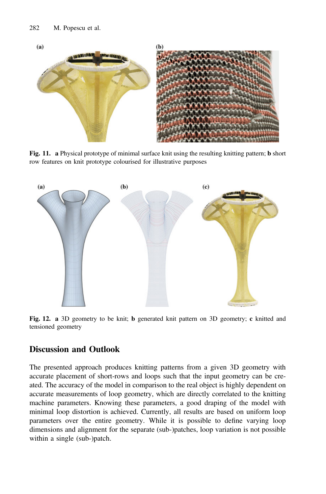<span id="page-11-0"></span>

Fig. 11. a Physical prototype of minimal surface knit using the resulting knitting pattern; **b** short row features on knit prototype colourised for illustrative purposes



Fig. 12. a 3D geometry to be knit; b generated knit pattern on 3D geometry; c knitted and tensioned geometry

# Discussion and Outlook

The presented approach produces knitting patterns from a given 3D geometry with accurate placement of short-rows and loops such that the input geometry can be created. The accuracy of the model in comparison to the real object is highly dependent on accurate measurements of loop geometry, which are directly correlated to the knitting machine parameters. Knowing these parameters, a good draping of the model with minimal loop distortion is achieved. Currently, all results are based on uniform loop parameters over the entire geometry. While it is possible to define varying loop dimensions and alignment for the separate (sub-)patches, loop variation is not possible within a single (sub-)patch.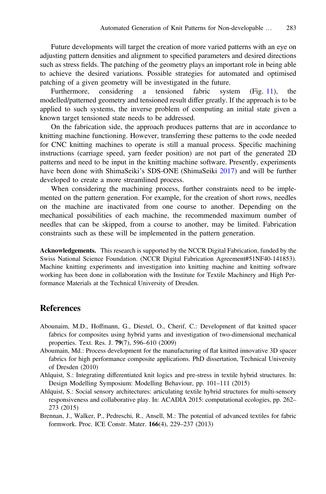<span id="page-12-0"></span>Future developments will target the creation of more varied patterns with an eye on adjusting pattern densities and alignment to specified parameters and desired directions such as stress fields. The patching of the geometry plays an important role in being able to achieve the desired variations. Possible strategies for automated and optimised patching of a given geometry will be investigated in the future.

Furthermore, considering a tensioned fabric system (Fig. [11](#page-11-0)), the modelled/patterned geometry and tensioned result differ greatly. If the approach is to be applied to such systems, the inverse problem of computing an initial state given a known target tensioned state needs to be addressed.

On the fabrication side, the approach produces patterns that are in accordance to knitting machine functioning. However, transferring these patterns to the code needed for CNC knitting machines to operate is still a manual process. Specific machining instructions (carriage speed, yarn feeder position) are not part of the generated 2D patterns and need to be input in the knitting machine software. Presently, experiments have been done with ShimaSeiki's SDS-ONE (ShimaSeiki [2017](#page-13-0)) and will be further developed to create a more streamlined process.

When considering the machining process, further constraints need to be implemented on the pattern generation. For example, for the creation of short rows, needles on the machine are inactivated from one course to another. Depending on the mechanical possibilities of each machine, the recommended maximum number of needles that can be skipped, from a course to another, may be limited. Fabrication constraints such as these will be implemented in the pattern generation.

Acknowledgements. This research is supported by the NCCR Digital Fabrication, funded by the Swiss National Science Foundation. (NCCR Digital Fabrication Agreement#51NF40-141853). Machine knitting experiments and investigation into knitting machine and knitting software working has been done in collaboration with the Institute for Textile Machinery and High Performance Materials at the Technical University of Dresden.

### References

- Abounaim, M.D., Hoffmann, G., Diestel, O., Cherif, C.: Development of flat knitted spacer fabrics for composites using hybrid yarns and investigation of two-dimensional mechanical properties. Text. Res. J. 79(7), 596–610 (2009)
- Aboumain, Md.: Process development for the manufacturing of flat knitted innovative 3D spacer fabrics for high performance composite applications. PhD dissertation, Technical University of Dresden (2010)
- Ahlquist, S.: Integrating differentiated knit logics and pre-stress in textile hybrid structures. In: Design Modelling Symposium: Modelling Behaviour, pp. 101–111 (2015)
- Ahlquist, S.: Social sensory architectures: articulating textile hybrid structures for multi-sensory responsiveness and collaborative play. In: ACADIA 2015: computational ecologies, pp. 262– 273 (2015)
- Brennan, J., Walker, P., Pedreschi, R., Ansell, M.: The potential of advanced textiles for fabric formwork. Proc. ICE Constr. Mater. 166(4), 229–237 (2013)